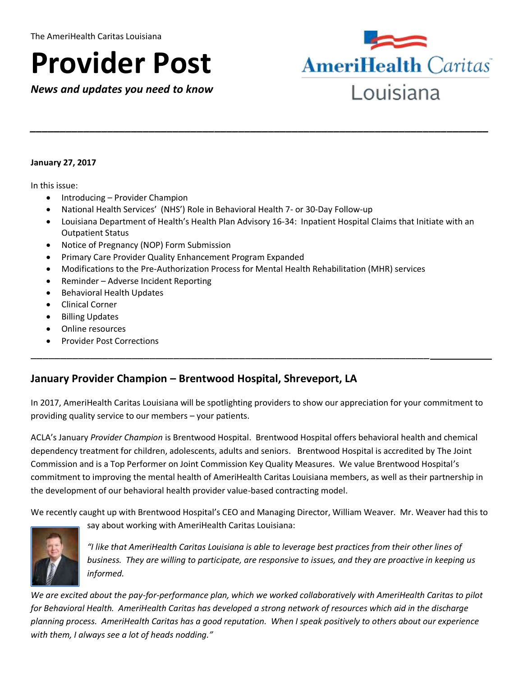# **Provider Post**

 *News and updates you need to know* 



 $\overline{a}$ 

#### **January 27, 2017**

In this issue:

- Introducing Provider Champion
- National Health Services' (NHS') Role in Behavioral Health 7- or 30-Day Follow-up
- Louisiana Department of Health's Health Plan Advisory 16-34: Inpatient Hospital Claims that Initiate with an Outpatient Status

*\_\_\_\_\_\_\_\_\_\_\_\_\_\_\_\_\_\_\_\_\_\_\_\_\_\_\_\_\_\_\_\_\_\_\_\_\_\_\_\_\_\_\_\_\_\_\_\_\_\_\_\_\_\_\_\_\_\_\_\_\_\_\_\_\_\_\_\_\_\_\_\_\_\_\_\_\_* 

- Notice of Pregnancy (NOP) Form Submission
- Primary Care Provider Quality Enhancement Program Expanded
- Modifications to the Pre-Authorization Process for Mental Health Rehabilitation (MHR) services

\_\_\_\_\_\_\_\_\_\_\_\_\_\_\_\_\_\_\_\_\_\_\_\_\_\_\_\_\_\_\_\_\_\_\_\_\_\_\_\_\_\_\_\_\_\_\_\_\_\_\_\_\_\_\_\_\_\_\_\_\_\_\_\_\_\_\_

- Reminder Adverse Incident Reporting
- **•** Behavioral Health Updates
- Clinical Corner
- **•** Billing Updates
- Online resources
- Provider Post Corrections

# **January Provider Champion – Brentwood Hospital, Shreveport, LA**

 In 2017, AmeriHealth Caritas Louisiana will be spotlighting providers to show our appreciation for your commitment to providing quality service to our members – your patients.

 ACLA's January *Provider Champion* is Brentwood Hospital. Brentwood Hospital offers behavioral health and chemical dependency treatment for children, adolescents, adults and seniors. Brentwood Hospital is accredited by The Joint Commission and is a Top Performer on Joint Commission Key Quality Measures. We value Brentwood Hospital's commitment to improving the mental health of AmeriHealth Caritas Louisiana members, as well as their partnership in the development of our behavioral health provider value-based contracting model.

We recently caught up with Brentwood Hospital's CEO and Managing Director, William Weaver. Mr. Weaver had this to



say about working with AmeriHealth Caritas Louisiana:

 *"I like that AmeriHealth Caritas Louisiana is able to leverage best practices from their other lines of business. They are willing to participate, are responsive to issues, and they are proactive in keeping us*  informed.

 *informed. We are excited about the pay-for-performance plan, which we worked collaboratively with AmeriHealth Caritas to pilot for Behavioral Health. AmeriHealth Caritas has developed a strong network of resources which aid in the discharge planning process. AmeriHealth Caritas has a good reputation. When I speak positively to others about our experience with them, I always see a lot of heads nodding."*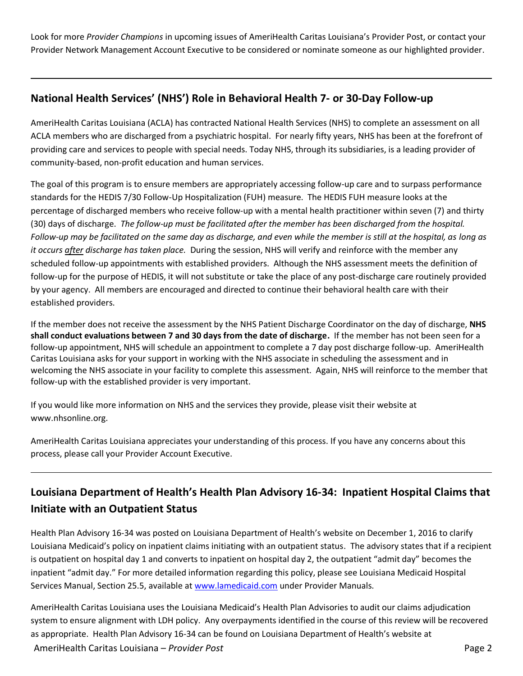Look for more *Provider Champions* in upcoming issues of AmeriHealth Caritas Louisiana's Provider Post, or contact your Provider Network Management Account Executive to be considered or nominate someone as our highlighted provider.

# **National Health Services' (NHS') Role in Behavioral Health 7- or 30-Day Follow-up**

 AmeriHealth Caritas Louisiana (ACLA) has contracted National Health Services (NHS) to complete an assessment on all ACLA members who are discharged from a psychiatric hospital. For nearly fifty years, NHS has been at the forefront of providing care and services to people with special needs. Today NHS, through its subsidiaries, is a leading provider of community-based, non-profit education and human services.

 The goal of this program is to ensure members are appropriately accessing follow-up care and to surpass performance standards for the HEDIS 7/30 Follow-Up Hospitalization (FUH) measure. The HEDIS FUH measure looks at the percentage of discharged members who receive follow-up with a mental health practitioner within seven (7) and thirty (30) days of discharge. *The follow-up must be facilitated after the member has been discharged from the hospital. Follow-up may be facilitated on the same day as discharge, and even while the member is still at the hospital, as long as it occurs after discharge has taken place.* During the session, NHS will verify and reinforce with the member any scheduled follow-up appointments with established providers. Although the NHS assessment meets the definition of follow-up for the purpose of HEDIS, it will not substitute or take the place of any post-discharge care routinely provided by your agency. All members are encouraged and directed to continue their behavioral health care with their established providers.

 If the member does not receive the assessment by the NHS Patient Discharge Coordinator on the day of discharge, **NHS shall conduct evaluations between 7 and 30 days from the date of discharge.** If the member has not been seen for a follow-up appointment, NHS will schedule an appointment to complete a 7 day post discharge follow-up. AmeriHealth Caritas Louisiana asks for your support in working with the NHS associate in scheduling the assessment and in welcoming the NHS associate in your facility to complete this assessment. Again, NHS will reinforce to the member that follow-up with the established provider is very important.

 If you would like more information on NHS and the services they provide, please visit their website at [www.nhsonline.org.](www.nhsonline.org)

 AmeriHealth Caritas Louisiana appreciates your understanding of this process. If you have any concerns about this process, please call your Provider Account Executive.

# **Louisiana Department of Health's Health Plan Advisory 16-34: Inpatient Hospital Claims that Initiate with an Outpatient Status**

 Health Plan Advisory 16-34 was posted on Louisiana Department of Health's website on December 1, 2016 to clarify Louisiana Medicaid's policy on inpatient claims initiating with an outpatient status. The advisory states that if a recipient is outpatient on hospital day 1 and converts to inpatient on hospital day 2, the outpatient "admit day" becomes the inpatient "admit day." For more detailed information regarding this policy, please see Louisiana Medicaid Hospital Services Manual, Section 25.5, available a[t www.lamedicaid.com](http://www.lamedicaid.com/) under Provider Manuals.

 AmeriHealth Caritas Louisiana – *Provider Post* Page 2 AmeriHealth Caritas Louisiana uses the Louisiana Medicaid's Health Plan Advisories to audit our claims adjudication system to ensure alignment with LDH policy. Any overpayments identified in the course of this review will be recovered as appropriate. Health Plan Advisory 16-34 can be found on Louisiana Department of Health's website at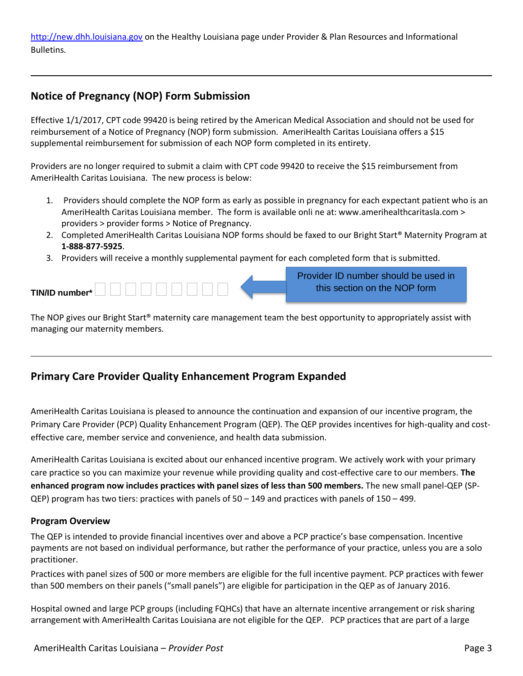[http://new.dhh.louisiana.gov](http://new.dhh.louisiana.gov/) on the Healthy Louisiana page under Provider & Plan Resources and Informational Bulletins.

# **Notice of Pregnancy (NOP) Form Submission**

L

 $\overline{\phantom{0}}$ 

 Effective 1/1/2017, CPT code 99420 is being retired by the American Medical Association and should not be used for reimbursement of a Notice of Pregnancy (NOP) form submission. AmeriHealth Caritas Louisiana offers a \$15 supplemental reimbursement for submission of each NOP form completed in its entirety.

 Providers are no longer required to submit a claim with CPT code 99420 to receive the \$15 reimbursement from AmeriHealth Caritas Louisiana. The new process is below:

- 1. Providers should complete the NOP form as early as possible in pregnancy for each expectant patient who is an AmeriHealth Caritas Louisiana member. The form is available onli ne at: <www.amerihealthcaritasla.com>> providers > provider forms > Notice of Pregnancy.
- 2. Completed AmeriHealth Caritas Louisiana NOP forms should be faxed to our Bright Start® Maternity Program at **1-888-877-5925**.
- 3. Providers will receive a monthly supplemental payment for each completed form that is submitted.

|  | Provider ID number should be used in |
|--|--------------------------------------|
|  | this section on the NOP form         |

 The NOP gives our Bright Start® maternity care management team the best opportunity to appropriately assist with managing our maternity members.

## **Primary Care Provider Quality Enhancement Program Expanded**

 AmeriHealth Caritas Louisiana is pleased to announce the continuation and expansion of our incentive program, the Primary Care Provider (PCP) Quality Enhancement Program (QEP). The QEP provides incentives for high-quality and cost-effective care, member service and convenience, and health data submission.

 AmeriHealth Caritas Louisiana is excited about our enhanced incentive program. We actively work with your primary care practice so you can maximize your revenue while providing quality and cost-effective care to our members. **The enhanced program now includes practices with panel sizes of less than 500 members.** The new small panel-QEP (SP-QEP) program has two tiers: practices with panels of 50 – 149 and practices with panels of 150 – 499.

#### **Program Overview**

 The QEP is intended to provide financial incentives over and above a PCP practice's base compensation. Incentive payments are not based on individual performance, but rather the performance of your practice, unless you are a solo practitioner.

 Practices with panel sizes of 500 or more members are eligible for the full incentive payment. PCP practices with fewer than 500 members on their panels ("small panels") are eligible for participation in the QEP as of January 2016.

 Hospital owned and large PCP groups (including FQHCs) that have an alternate incentive arrangement or risk sharing arrangement with AmeriHealth Caritas Louisiana are not eligible for the QEP. PCP practices that are part of a large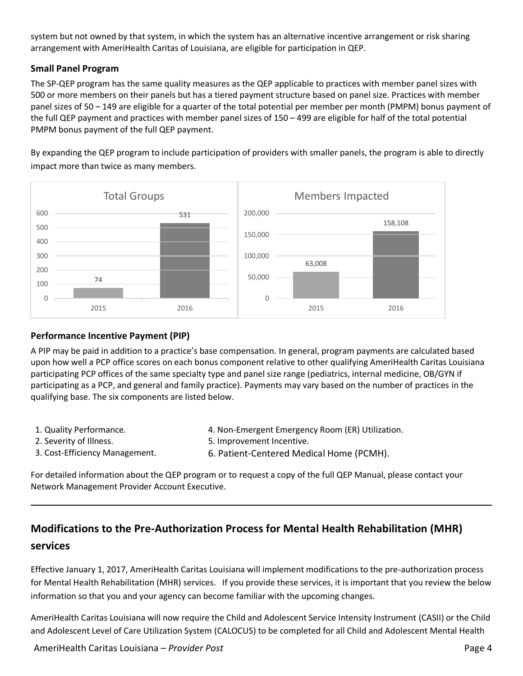system but not owned by that system, in which the system has an alternative incentive arrangement or risk sharing arrangement with AmeriHealth Caritas of Louisiana, are eligible for participation in QEP.

#### **Small Panel Program**

 The SP-QEP program has the same quality measures as the QEP applicable to practices with member panel sizes with 500 or more members on their panels but has a tiered payment structure based on panel size. Practices with member panel sizes of 50 – 149 are eligible for a quarter of the total potential per member per month (PMPM) bonus payment of the full QEP payment and practices with member panel sizes of 150 – 499 are eligible for half of the total potential PMPM bonus payment of the full QEP payment.

 By expanding the QEP program to include participation of providers with smaller panels, the program is able to directly impact more than twice as many members.



#### **Performance Incentive Payment (PIP)**

 A PIP may be paid in addition to a practice's base compensation. In general, program payments are calculated based upon how well a PCP office scores on each bonus component relative to other qualifying AmeriHealth Caritas Louisiana participating PCP offices of the same specialty type and panel size range (pediatrics, internal medicine, OB/GYN if participating as a PCP, and general and family practice). Payments may vary based on the number of practices in the qualifying base. The six components are listed below.

1. Quality Performance.

 $\overline{a}$ 

- 2. Severity of Illness.
- 4. Non-Emergent Emergency Room (ER) Utilization. 5. Improvement Incentive.
- 
- 3. Cost-Efficiency Management. 6. Patient-Centered Medical Home (PCMH).

 For detailed information about the QEP program or to request a copy of the full QEP Manual, please contact your Network Management Provider Account Executive.

# **Modifications to the Pre-Authorization Process for Mental Health Rehabilitation (MHR) services**

 Effective January 1, 2017, AmeriHealth Caritas Louisiana will implement modifications to the pre-authorization process for Mental Health Rehabilitation (MHR) services. If you provide these services, it is important that you review the below information so that you and your agency can become familiar with the upcoming changes.

 AmeriHealth Caritas Louisiana will now require the Child and Adolescent Service Intensity Instrument (CASII) or the Child and Adolescent Level of Care Utilization System (CALOCUS) to be completed for all Child and Adolescent Mental Health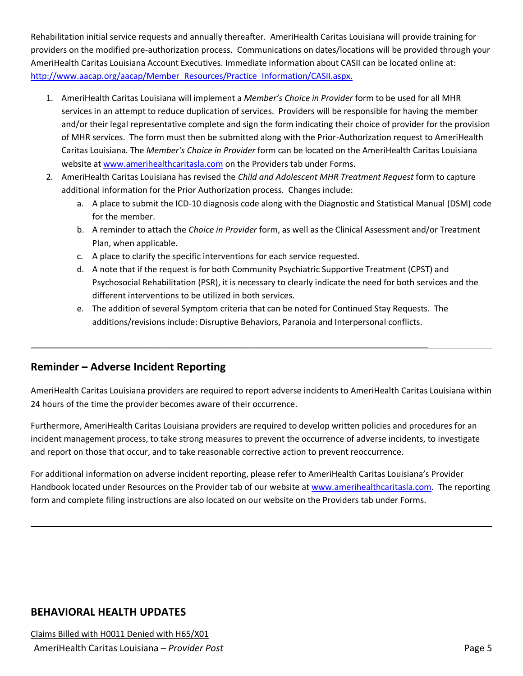Rehabilitation initial service requests and annually thereafter. AmeriHealth Caritas Louisiana will provide training for providers on the modified pre-authorization process. Communications on dates/locations will be provided through your AmeriHealth Caritas Louisiana Account Executives. Immediate information about CASII can be located online at: http://www.aacap.org/aacap/Member\_Resources/Practice\_Information/CASII.aspx.

- 1. AmeriHealth Caritas Louisiana will implement a *Member's Choice in Provider* form to be used for all MHR services in an attempt to reduce duplication of services. Providers will be responsible for having the member and/or their legal representative complete and sign the form indicating their choice of provider for the provision of MHR services. The form must then be submitted along with the Prior-Authorization request to AmeriHealth  Caritas Louisiana. The *Member's Choice in Provider* form can be located on the AmeriHealth Caritas Louisiana website at www.amerihealthcaritasla.com on the Providers tab under Forms. Rehabilitation initial service requests and namulal primerafter. Amerihealth Caritas Louisiana will provide training for Amerihealth Caritas Louisiana Account Executives. Immediate information about CASII can be located on
	- 2. AmeriHealth Caritas Louisiana has revised the *Child and Adolescent MHR Treatment Request* form to capture additional information for the Prior Authorization process. Changes include:
		- a. A place to submit the ICD-10 diagnosis code along with the Diagnostic and Statistical Manual (DSM) code for the member.
		- b. A reminder to attach the *Choice in Provider* form, as well as the Clinical Assessment and/or Treatment Plan, when applicable.
		- c. A place to clarify the specific interventions for each service requested.
		- d. A note that if the request is for both Community Psychiatric Supportive Treatment (CPST) and Psychosocial Rehabilitation (PSR), it is necessary to clearly indicate the need for both services and the different interventions to be utilized in both services.
		- e. The addition of several Symptom criteria that can be noted for Continued Stay Requests. The additions/revisions include: Disruptive Behaviors, Paranoia and Interpersonal conflicts.

# **Reminder – Adverse Incident Reporting**

 AmeriHealth Caritas Louisiana providers are required to report adverse incidents to AmeriHealth Caritas Louisiana within 24 hours of the time the provider becomes aware of their occurrence.

24 hours of the time the provider becomes aware of their occurrence.<br>Furthermore, AmeriHealth Caritas Louisiana providers are required to develop written policies and procedures for an incident management process, to take strong measures to prevent the occurrence of adverse incidents, to investigate and report on those that occur, and to take reasonable corrective action to prevent reoccurrence.

 For additional information on adverse incident reporting, please refer to AmeriHealth Caritas Louisiana's Provider Handbook located under Resources on the Provider tab of our website at [www.amerihealthcaritasla.com.](http://www.amerihealthcaritasla.com/) The reporting form and complete filing instructions are also located on our website on the Providers tab under Forms.

## **BEHAVIORAL HEALTH UPDATES**

L

l,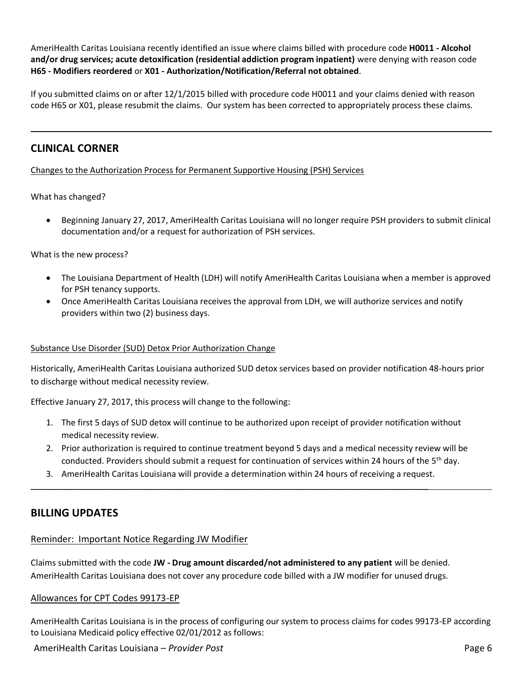AmeriHealth Caritas Louisiana recently identified an issue where claims billed with procedure code H0011 - Alcohol  **and/or drug services; acute detoxification (residential addiction program inpatient)** were denying with reason code  **H65 - Modifiers reordered** or **X01 - Authorization/Notification/Referral not obtained**. AmeriHealth Caritas Louisians recently derivation in technology and provide a decomposition of the component in the component in the component in the component in the component in the component in the component of MS - Mul

 If you submitted claims on or after 12/1/2015 billed with procedure code H0011 and your claims denied with reason code H65 or X01, please resubmit the claims. Our system has been corrected to appropriately process these claims.

### **CLINICAL CORNER**

 $\overline{a}$ 

Changes to the Authorization Process for Permanent Supportive Housing (PSH) Services

What has changed?

 Beginning January 27, 2017, AmeriHealth Caritas Louisiana will no longer require PSH providers to submit clinical documentation and/or a request for authorization of PSH services.

#### What is the new process?

- The Louisiana Department of Health (LDH) will notify AmeriHealth Caritas Louisiana when a member is approved for PSH tenancy supports.
- Once AmeriHealth Caritas Louisiana receives the approval from LDH, we will authorize services and notify providers within two (2) business days.

#### Substance Use Disorder (SUD) Detox Prior Authorization Change

 to discharge without medical necessity review. Historically, AmeriHealth Caritas Louisiana authorized SUD detox services based on provider notification 48-hours prior

Effective January 27, 2017, this process will change to the following:

- 1. The first 5 days of SUD detox will continue to be authorized upon receipt of provider notification without medical necessity review.
- 2. Prior authorization is required to continue treatment beyond 5 days and a medical necessity review will be conducted. Providers should submit a request for continuation of services within 24 hours of the 5<sup>th</sup> day.
- 3. AmeriHealth Caritas Louisiana will provide a determination within 24 hours of receiving a request.

## **BILLING UPDATES**

#### Reminder: Important Notice Regarding JW Modifier

 Claims submitted with the code **JW - Drug amount discarded/not administered to any patient** will be denied. AmeriHealth Caritas Louisiana does not cover any procedure code billed with a JW modifier for unused drugs.

#### Allowances for CPT Codes 99173-EP

 AmeriHealth Caritas Louisiana is in the process of configuring our system to process claims for codes 99173-EP according to Louisiana Medicaid policy effective 02/01/2012 as follows:

AmeriHealth Caritas Louisiana – *Provider Post* Page 6

 $\overline{a}$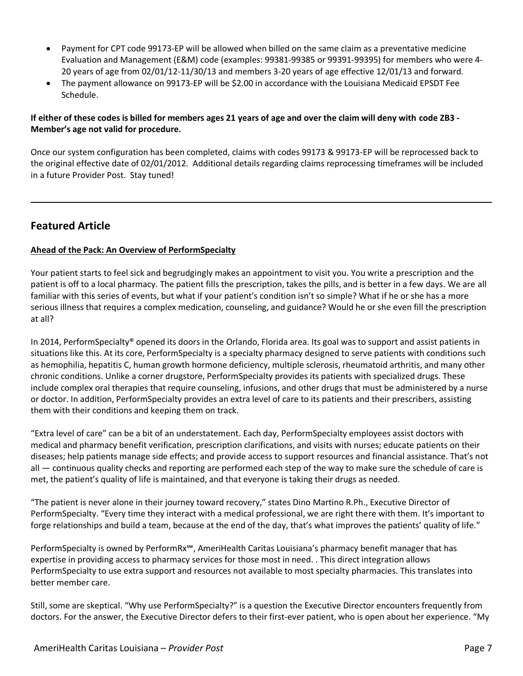- Payment for CPT code 99173-EP will be allowed when billed on the same claim as a preventative medicine Evaluation and Management (E&M) code (examples: 99381-99385 or 99391-99395) for members who were 4- 20 years of age from 02/01/12-11/30/13 and members 3-20 years of age effective 12/01/13 and forward.
- The payment allowance on 99173-EP will be \$2.00 in accordance with the Louisiana Medicaid EPSDT Fee Schedule.

#### **If either of these codes is billed for members ages 21 years of age and over the claim will deny with code ZB3 - Member's age not valid for procedure.**

 Once our system configuration has been completed, claims with codes 99173 & 99173-EP will be reprocessed back to the original effective date of 02/01/2012. Additional details regarding claims reprocessing timeframes will be included in a future Provider Post. Stay tuned!

# **Featured Article**

 $\overline{a}$ 

#### **Ahead of the Pack: An Overview of PerformSpecialty**

 Your patient starts to feel sick and begrudgingly makes an appointment to visit you. You write a prescription and the patient is off to a local pharmacy. The patient fills the prescription, takes the pills, and is better in a few days. We are all familiar with this series of events, but what if your patient's condition isn't so simple? What if he or she has a more serious illness that requires a complex medication, counseling, and guidance? Would he or she even fill the prescription at all?

 In 2014, PerformSpecialty® opened its doors in the Orlando, Florida area. Its goal was to support and assist patients in situations like this. At its core, PerformSpecialty is a specialty pharmacy designed to serve patients with conditions such as hemophilia, hepatitis C, human growth hormone deficiency, multiple sclerosis, rheumatoid arthritis, and many other chronic conditions. Unlike a corner drugstore, PerformSpecialty provides its patients with specialized drugs. These include complex oral therapies that require counseling, infusions, and other drugs that must be administered by a nurse or doctor. In addition, PerformSpecialty provides an extra level of care to its patients and their prescribers, assisting them with their conditions and keeping them on track.

 "Extra level of care" can be a bit of an understatement. Each day, PerformSpecialty employees assist doctors with medical and pharmacy benefit verification, prescription clarifications, and visits with nurses; educate patients on their diseases; help patients manage side effects; and provide access to support resources and financial assistance. That's not all ― continuous quality checks and reporting are performed each step of the way to make sure the schedule of care is met, the patient's quality of life is maintained, and that everyone is taking their drugs as needed.

 "The patient is never alone in their journey toward recovery," states Dino Martino R.Ph., Executive Director of PerformSpecialty. "Every time they interact with a medical professional, we are right there with them. It's important to forge relationships and build a team, because at the end of the day, that's what improves the patients' quality of life."

 PerformSpecialty is owned by PerformRx℠, AmeriHealth Caritas Louisiana's pharmacy benefit manager that has expertise in providing access to pharmacy services for those most in need. . This direct integration allows PerformSpecialty to use extra support and resources not available to most specialty pharmacies. This translates into better member care.

better member care.<br>Still, some are skeptical. "Why use PerformSpecialty?" is a question the Executive Director encounters frequently from doctors. For the answer, the Executive Director defers to their first-ever patient, who is open about her experience. "My